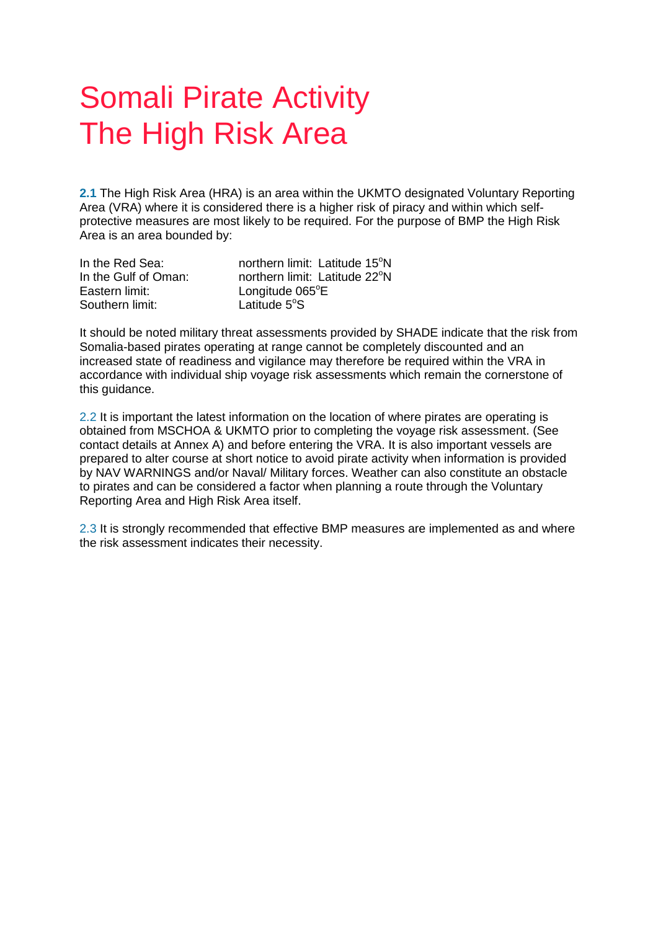## Somali Pirate Activity The High Risk Area

**2.1** The High Risk Area (HRA) is an area within the UKMTO designated Voluntary Reporting Area (VRA) where it is considered there is a higher risk of piracy and within which selfprotective measures are most likely to be required. For the purpose of BMP the High Risk Area is an area bounded by:

| In the Red Sea:      | northern limit: Latitude 15°N |
|----------------------|-------------------------------|
| In the Gulf of Oman: | northern limit: Latitude 22°N |
| Eastern limit: l     | Longitude 065°E               |
| Southern limit:      | Latitude $5^\circ$ S          |

It should be noted military threat assessments provided by SHADE indicate that the risk from Somalia-based pirates operating at range cannot be completely discounted and an increased state of readiness and vigilance may therefore be required within the VRA in accordance with individual ship voyage risk assessments which remain the cornerstone of this guidance.

2.2 It is important the latest information on the location of where pirates are operating is obtained from MSCHOA & UKMTO prior to completing the voyage risk assessment. (See contact details at Annex A) and before entering the VRA. It is also important vessels are prepared to alter course at short notice to avoid pirate activity when information is provided by NAV WARNINGS and/or Naval/ Military forces. Weather can also constitute an obstacle to pirates and can be considered a factor when planning a route through the Voluntary Reporting Area and High Risk Area itself.

2.3 It is strongly recommended that effective BMP measures are implemented as and where the risk assessment indicates their necessity.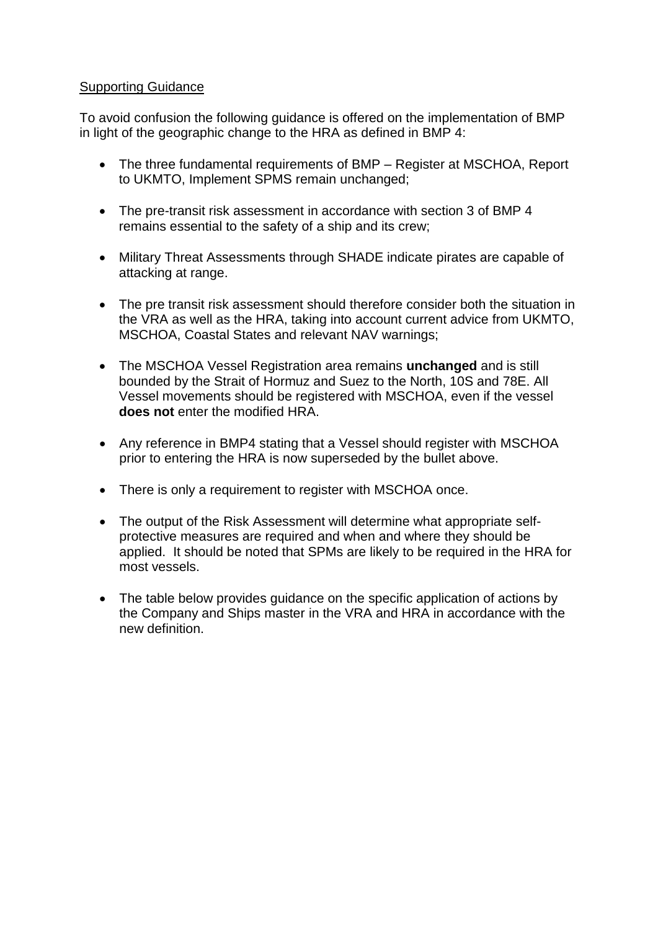## Supporting Guidance

To avoid confusion the following guidance is offered on the implementation of BMP in light of the geographic change to the HRA as defined in BMP 4:

- The three fundamental requirements of BMP Register at MSCHOA, Report to UKMTO, Implement SPMS remain unchanged;
- The pre-transit risk assessment in accordance with section 3 of BMP 4 remains essential to the safety of a ship and its crew;
- Military Threat Assessments through SHADE indicate pirates are capable of attacking at range.
- The pre transit risk assessment should therefore consider both the situation in the VRA as well as the HRA, taking into account current advice from UKMTO, MSCHOA, Coastal States and relevant NAV warnings;
- The MSCHOA Vessel Registration area remains **unchanged** and is still bounded by the Strait of Hormuz and Suez to the North, 10S and 78E. All Vessel movements should be registered with MSCHOA, even if the vessel **does not** enter the modified HRA.
- Any reference in BMP4 stating that a Vessel should register with MSCHOA prior to entering the HRA is now superseded by the bullet above.
- There is only a requirement to register with MSCHOA once.
- The output of the Risk Assessment will determine what appropriate selfprotective measures are required and when and where they should be applied. It should be noted that SPMs are likely to be required in the HRA for most vessels.
- The table below provides quidance on the specific application of actions by the Company and Ships master in the VRA and HRA in accordance with the new definition.